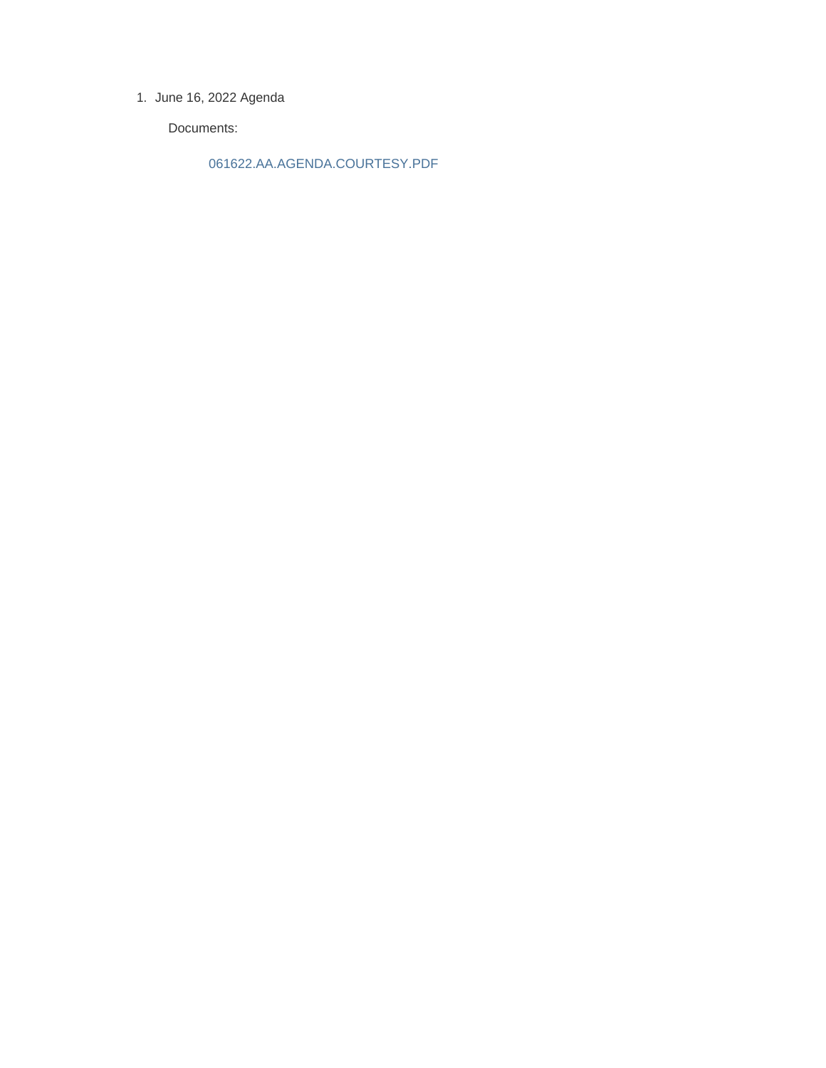1. June 16, 2022 Agenda

Documents:

061622.AA.AGENDA.COURTESY.PDF